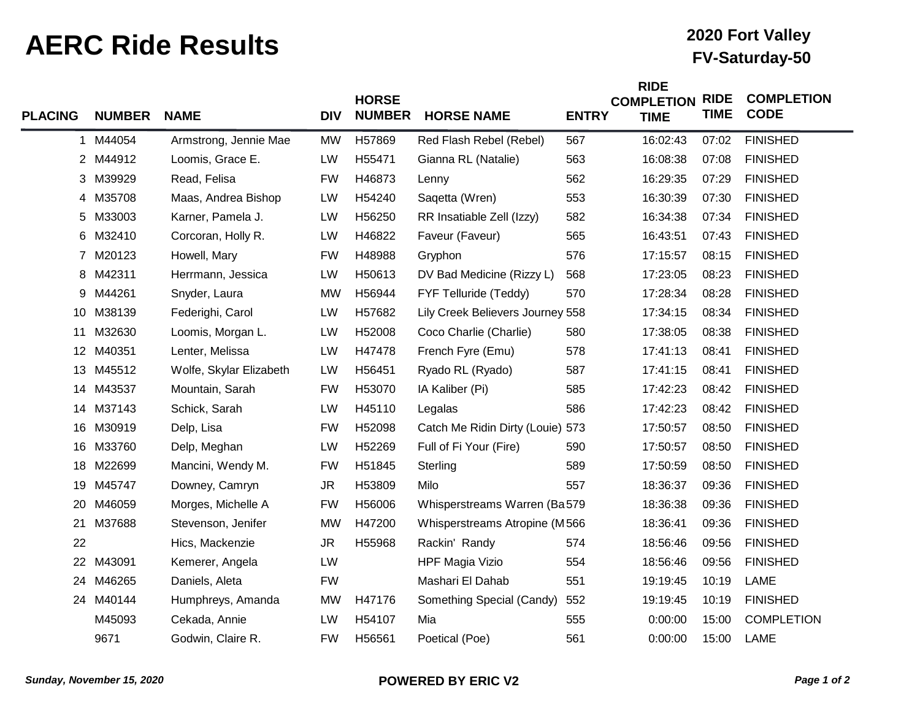## **AERC Ride Results FV-Saturday-50**

## **2020 Fort Valley**

| <b>PLACING</b> | <b>NUMBER</b> | <b>NAME</b>             | <b>DIV</b> | <b>HORSE</b><br><b>NUMBER</b> | <b>HORSE NAME</b>                | <b>ENTRY</b> | <b>RIDE</b><br><b>COMPLETION</b><br><b>TIME</b> | <b>RIDE</b><br><b>TIME</b> | <b>COMPLETION</b><br><b>CODE</b> |
|----------------|---------------|-------------------------|------------|-------------------------------|----------------------------------|--------------|-------------------------------------------------|----------------------------|----------------------------------|
| 1              | M44054        | Armstrong, Jennie Mae   | <b>MW</b>  | H57869                        | Red Flash Rebel (Rebel)          | 567          | 16:02:43                                        | 07:02                      | <b>FINISHED</b>                  |
|                | 2 M44912      | Loomis, Grace E.        | LW         | H55471                        | Gianna RL (Natalie)              | 563          | 16:08:38                                        | 07:08                      | <b>FINISHED</b>                  |
| 3              | M39929        | Read, Felisa            | <b>FW</b>  | H46873                        | Lenny                            | 562          | 16:29:35                                        | 07:29                      | <b>FINISHED</b>                  |
|                | 4 M35708      | Maas, Andrea Bishop     | LW         | H54240                        | Saqetta (Wren)                   | 553          | 16:30:39                                        | 07:30                      | <b>FINISHED</b>                  |
| 5              | M33003        | Karner, Pamela J.       | LW         | H56250                        | RR Insatiable Zell (Izzy)        | 582          | 16:34:38                                        | 07:34                      | <b>FINISHED</b>                  |
|                | 6 M32410      | Corcoran, Holly R.      | LW         | H46822                        | Faveur (Faveur)                  | 565          | 16:43:51                                        | 07:43                      | <b>FINISHED</b>                  |
| $\mathbf{7}$   | M20123        | Howell, Mary            | <b>FW</b>  | H48988                        | Gryphon                          | 576          | 17:15:57                                        | 08:15                      | <b>FINISHED</b>                  |
| 8              | M42311        | Herrmann, Jessica       | LW         | H50613                        | DV Bad Medicine (Rizzy L)        | 568          | 17:23:05                                        | 08:23                      | <b>FINISHED</b>                  |
| 9              | M44261        | Snyder, Laura           | <b>MW</b>  | H56944                        | FYF Telluride (Teddy)            | 570          | 17:28:34                                        | 08:28                      | <b>FINISHED</b>                  |
| 10             | M38139        | Federighi, Carol        | LW         | H57682                        | Lily Creek Believers Journey 558 |              | 17:34:15                                        | 08:34                      | <b>FINISHED</b>                  |
| 11             | M32630        | Loomis, Morgan L.       | LW         | H52008                        | Coco Charlie (Charlie)           | 580          | 17:38:05                                        | 08:38                      | <b>FINISHED</b>                  |
| 12             | M40351        | Lenter, Melissa         | LW         | H47478                        | French Fyre (Emu)                | 578          | 17:41:13                                        | 08:41                      | <b>FINISHED</b>                  |
| 13             | M45512        | Wolfe, Skylar Elizabeth | LW         | H56451                        | Ryado RL (Ryado)                 | 587          | 17:41:15                                        | 08:41                      | <b>FINISHED</b>                  |
| 14             | M43537        | Mountain, Sarah         | <b>FW</b>  | H53070                        | IA Kaliber (Pi)                  | 585          | 17:42:23                                        | 08:42                      | <b>FINISHED</b>                  |
| 14             | M37143        | Schick, Sarah           | LW         | H45110                        | Legalas                          | 586          | 17:42:23                                        | 08:42                      | <b>FINISHED</b>                  |
| 16             | M30919        | Delp, Lisa              | <b>FW</b>  | H52098                        | Catch Me Ridin Dirty (Louie) 573 |              | 17:50:57                                        | 08:50                      | <b>FINISHED</b>                  |
| 16             | M33760        | Delp, Meghan            | LW         | H52269                        | Full of Fi Your (Fire)           | 590          | 17:50:57                                        | 08:50                      | <b>FINISHED</b>                  |
| 18             | M22699        | Mancini, Wendy M.       | <b>FW</b>  | H51845                        | Sterling                         | 589          | 17:50:59                                        | 08:50                      | <b>FINISHED</b>                  |
| 19             | M45747        | Downey, Camryn          | <b>JR</b>  | H53809                        | Milo                             | 557          | 18:36:37                                        | 09:36                      | <b>FINISHED</b>                  |
| 20             | M46059        | Morges, Michelle A      | <b>FW</b>  | H56006                        | Whisperstreams Warren (Ba579     |              | 18:36:38                                        | 09:36                      | <b>FINISHED</b>                  |
| 21             | M37688        | Stevenson, Jenifer      | <b>MW</b>  | H47200                        | Whisperstreams Atropine (M566    |              | 18:36:41                                        | 09:36                      | <b>FINISHED</b>                  |
| 22             |               | Hics, Mackenzie         | <b>JR</b>  | H55968                        | Rackin' Randy                    | 574          | 18:56:46                                        | 09:56                      | <b>FINISHED</b>                  |
| 22             | M43091        | Kemerer, Angela         | LW         |                               | <b>HPF Magia Vizio</b>           | 554          | 18:56:46                                        | 09:56                      | <b>FINISHED</b>                  |
| 24             | M46265        | Daniels, Aleta          | <b>FW</b>  |                               | Mashari El Dahab                 | 551          | 19:19:45                                        | 10:19                      | LAME                             |
|                | 24 M40144     | Humphreys, Amanda       | <b>MW</b>  | H47176                        | Something Special (Candy)        | 552          | 19:19:45                                        | 10:19                      | <b>FINISHED</b>                  |
|                | M45093        | Cekada, Annie           | LW         | H54107                        | Mia                              | 555          | 0:00:00                                         | 15:00                      | <b>COMPLETION</b>                |
|                | 9671          | Godwin, Claire R.       | <b>FW</b>  | H56561                        | Poetical (Poe)                   | 561          | 0:00:00                                         | 15:00                      | LAME                             |